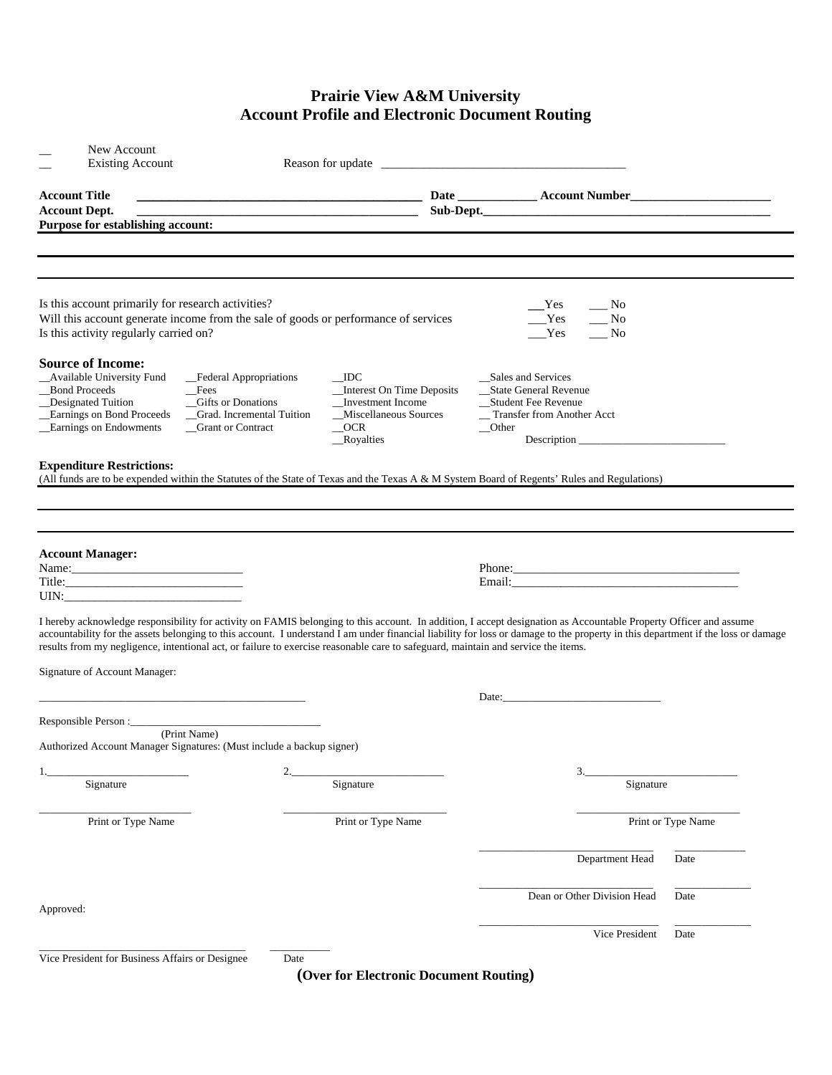## **Prairie View A&M University Account Profile and Electronic Document Routing**

| New Account<br><b>Existing Account</b>                                                                                                                                                                                                                                                                                                                                                                                                                                                     |                                                                                                                                       |                            |                                                                                                                     |                    |
|--------------------------------------------------------------------------------------------------------------------------------------------------------------------------------------------------------------------------------------------------------------------------------------------------------------------------------------------------------------------------------------------------------------------------------------------------------------------------------------------|---------------------------------------------------------------------------------------------------------------------------------------|----------------------------|---------------------------------------------------------------------------------------------------------------------|--------------------|
| <b>Account Title</b>                                                                                                                                                                                                                                                                                                                                                                                                                                                                       |                                                                                                                                       |                            |                                                                                                                     |                    |
| <b>Account Dept.</b>                                                                                                                                                                                                                                                                                                                                                                                                                                                                       |                                                                                                                                       |                            | Sub-Dept.                                                                                                           |                    |
| Purpose for establishing account:                                                                                                                                                                                                                                                                                                                                                                                                                                                          |                                                                                                                                       |                            |                                                                                                                     |                    |
|                                                                                                                                                                                                                                                                                                                                                                                                                                                                                            |                                                                                                                                       |                            |                                                                                                                     |                    |
| Is this account primarily for research activities?<br>Will this account generate income from the sale of goods or performance of services<br>Is this activity regularly carried on?                                                                                                                                                                                                                                                                                                        |                                                                                                                                       |                            | Yes<br>$\frac{N_0}{N_0}$<br>Yes<br>$\overline{\phantom{0}}^{\rm No}$<br>Yes<br>$\overline{\phantom{0}}$ No          |                    |
| <b>Source of Income:</b><br><b>Available University Fund</b><br>_Federal Appropriations<br>_Bond Proceeds<br>_Fees<br>_Gifts or Donations<br>Designated Tuition<br>_Earnings on Bond Proceeds<br>_Grad. Incremental Tuition<br><b>Earnings on Endowments</b><br>Grant or Contract                                                                                                                                                                                                          | <b>IDC</b><br>_Interest On Time Deposits<br>Investment Income<br>_Miscellaneous Sources<br>$\overline{\phantom{0}}$ OCR<br>_Royalties | $\sqrt{\phantom{a}}$ Other | Sales and Services<br>__State General Revenue<br>_Student Fee Revenue<br>_Transfer from Another Acct<br>Description |                    |
| <b>Expenditure Restrictions:</b><br>(All funds are to be expended within the Statutes of the State of Texas and the Texas A & M System Board of Regents' Rules and Regulations)                                                                                                                                                                                                                                                                                                            |                                                                                                                                       |                            |                                                                                                                     |                    |
| <b>Account Manager:</b>                                                                                                                                                                                                                                                                                                                                                                                                                                                                    |                                                                                                                                       |                            |                                                                                                                     |                    |
| I hereby acknowledge responsibility for activity on FAMIS belonging to this account. In addition, I accept designation as Accountable Property Officer and assume<br>accountability for the assets belonging to this account. I understand I am under financial liability for loss or damage to the property in this department if the loss or damage<br>results from my negligence, intentional act, or failure to exercise reasonable care to safeguard, maintain and service the items. |                                                                                                                                       |                            |                                                                                                                     |                    |
| Signature of Account Manager:                                                                                                                                                                                                                                                                                                                                                                                                                                                              |                                                                                                                                       |                            |                                                                                                                     |                    |
|                                                                                                                                                                                                                                                                                                                                                                                                                                                                                            |                                                                                                                                       |                            | Date:                                                                                                               |                    |
| Authorized Account Manager Signatures: (Must include a backup signer)                                                                                                                                                                                                                                                                                                                                                                                                                      |                                                                                                                                       |                            |                                                                                                                     |                    |
| 2.<br>Signature                                                                                                                                                                                                                                                                                                                                                                                                                                                                            | Signature                                                                                                                             |                            | 3.<br>Signature                                                                                                     |                    |
|                                                                                                                                                                                                                                                                                                                                                                                                                                                                                            |                                                                                                                                       |                            |                                                                                                                     |                    |
| Print or Type Name                                                                                                                                                                                                                                                                                                                                                                                                                                                                         | Print or Type Name                                                                                                                    |                            |                                                                                                                     | Print or Type Name |
|                                                                                                                                                                                                                                                                                                                                                                                                                                                                                            |                                                                                                                                       |                            | Department Head                                                                                                     | Date               |
| Approved:                                                                                                                                                                                                                                                                                                                                                                                                                                                                                  |                                                                                                                                       |                            | Dean or Other Division Head                                                                                         | Date               |
|                                                                                                                                                                                                                                                                                                                                                                                                                                                                                            |                                                                                                                                       |                            | Vice President                                                                                                      | Date               |
| Vice President for Business Affairs or Designee                                                                                                                                                                                                                                                                                                                                                                                                                                            | Date                                                                                                                                  |                            |                                                                                                                     |                    |

**(Over for Electronic Document Routing)**